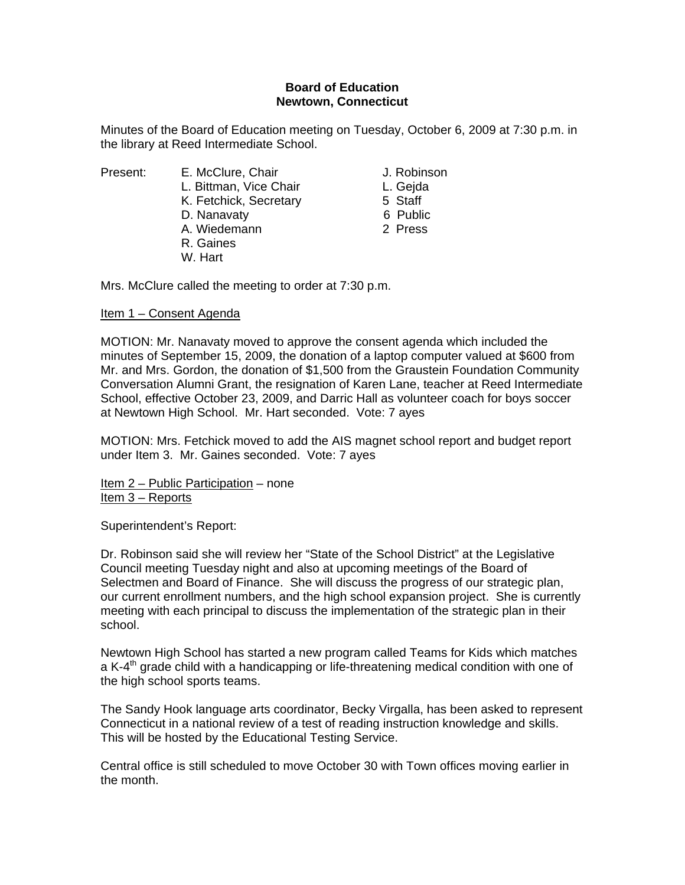# **Board of Education Newtown, Connecticut**

Minutes of the Board of Education meeting on Tuesday, October 6, 2009 at 7:30 p.m. in the library at Reed Intermediate School.

- Present: E. McClure, Chair **E. McClure, Chair** J. Robinson L. Bittman, Vice Chair **L. Geida** K. Fetchick, Secretary 5 Staff D. Nanavaty 6 Public A. Wiedemann 2 Press R. Gaines
	- W. Hart

- 
- 
- 
- 

Mrs. McClure called the meeting to order at 7:30 p.m.

### Item 1 – Consent Agenda

MOTION: Mr. Nanavaty moved to approve the consent agenda which included the minutes of September 15, 2009, the donation of a laptop computer valued at \$600 from Mr. and Mrs. Gordon, the donation of \$1,500 from the Graustein Foundation Community Conversation Alumni Grant, the resignation of Karen Lane, teacher at Reed Intermediate School, effective October 23, 2009, and Darric Hall as volunteer coach for boys soccer at Newtown High School. Mr. Hart seconded. Vote: 7 ayes

MOTION: Mrs. Fetchick moved to add the AIS magnet school report and budget report under Item 3. Mr. Gaines seconded. Vote: 7 ayes

Item 2 – Public Participation – none Item 3 – Reports

Superintendent's Report:

Dr. Robinson said she will review her "State of the School District" at the Legislative Council meeting Tuesday night and also at upcoming meetings of the Board of Selectmen and Board of Finance. She will discuss the progress of our strategic plan, our current enrollment numbers, and the high school expansion project. She is currently meeting with each principal to discuss the implementation of the strategic plan in their school.

Newtown High School has started a new program called Teams for Kids which matches a K-4<sup>th</sup> grade child with a handicapping or life-threatening medical condition with one of the high school sports teams.

The Sandy Hook language arts coordinator, Becky Virgalla, has been asked to represent Connecticut in a national review of a test of reading instruction knowledge and skills. This will be hosted by the Educational Testing Service.

Central office is still scheduled to move October 30 with Town offices moving earlier in the month.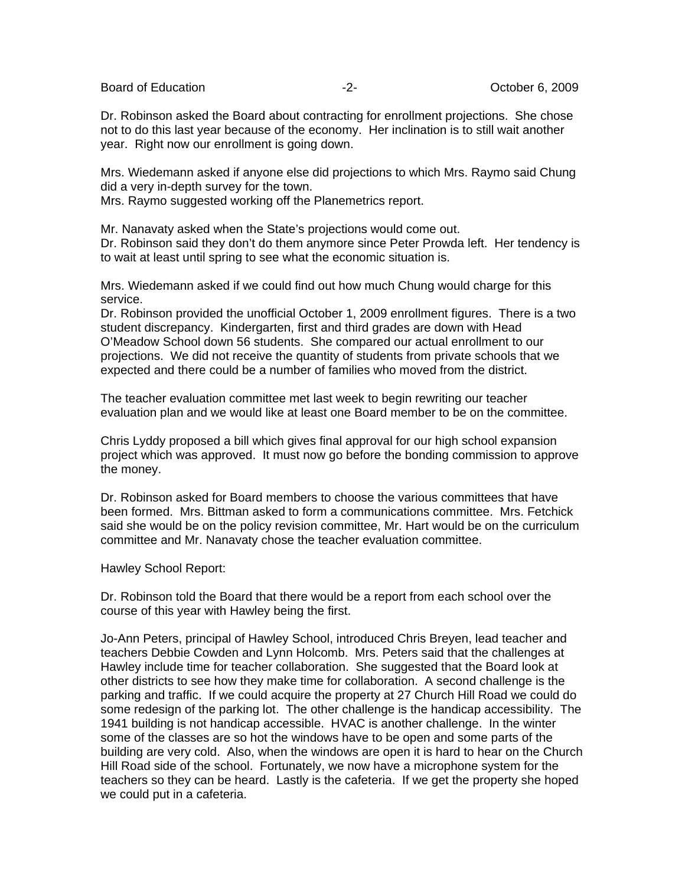Board of Education  $\overline{c}$ -2- Corober 6, 2009

Dr. Robinson asked the Board about contracting for enrollment projections. She chose not to do this last year because of the economy. Her inclination is to still wait another year. Right now our enrollment is going down.

Mrs. Wiedemann asked if anyone else did projections to which Mrs. Raymo said Chung did a very in-depth survey for the town.

Mrs. Raymo suggested working off the Planemetrics report.

Mr. Nanavaty asked when the State's projections would come out.

Dr. Robinson said they don't do them anymore since Peter Prowda left. Her tendency is to wait at least until spring to see what the economic situation is.

Mrs. Wiedemann asked if we could find out how much Chung would charge for this service.

Dr. Robinson provided the unofficial October 1, 2009 enrollment figures. There is a two student discrepancy. Kindergarten, first and third grades are down with Head O'Meadow School down 56 students. She compared our actual enrollment to our projections. We did not receive the quantity of students from private schools that we expected and there could be a number of families who moved from the district.

The teacher evaluation committee met last week to begin rewriting our teacher evaluation plan and we would like at least one Board member to be on the committee.

Chris Lyddy proposed a bill which gives final approval for our high school expansion project which was approved. It must now go before the bonding commission to approve the money.

Dr. Robinson asked for Board members to choose the various committees that have been formed. Mrs. Bittman asked to form a communications committee. Mrs. Fetchick said she would be on the policy revision committee, Mr. Hart would be on the curriculum committee and Mr. Nanavaty chose the teacher evaluation committee.

Hawley School Report:

Dr. Robinson told the Board that there would be a report from each school over the course of this year with Hawley being the first.

Jo-Ann Peters, principal of Hawley School, introduced Chris Breyen, lead teacher and teachers Debbie Cowden and Lynn Holcomb. Mrs. Peters said that the challenges at Hawley include time for teacher collaboration. She suggested that the Board look at other districts to see how they make time for collaboration. A second challenge is the parking and traffic. If we could acquire the property at 27 Church Hill Road we could do some redesign of the parking lot. The other challenge is the handicap accessibility. The 1941 building is not handicap accessible. HVAC is another challenge. In the winter some of the classes are so hot the windows have to be open and some parts of the building are very cold. Also, when the windows are open it is hard to hear on the Church Hill Road side of the school. Fortunately, we now have a microphone system for the teachers so they can be heard. Lastly is the cafeteria. If we get the property she hoped we could put in a cafeteria.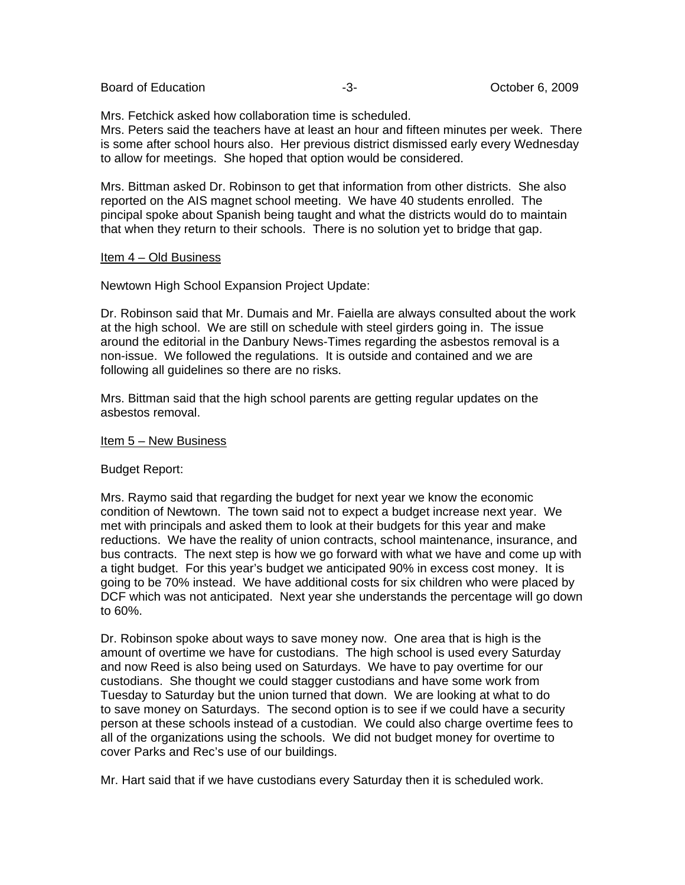Board of Education  $-3 -3-$  October 6, 2009

Mrs. Fetchick asked how collaboration time is scheduled.

Mrs. Peters said the teachers have at least an hour and fifteen minutes per week. There is some after school hours also. Her previous district dismissed early every Wednesday to allow for meetings. She hoped that option would be considered.

Mrs. Bittman asked Dr. Robinson to get that information from other districts. She also reported on the AIS magnet school meeting. We have 40 students enrolled. The pincipal spoke about Spanish being taught and what the districts would do to maintain that when they return to their schools. There is no solution yet to bridge that gap.

## Item 4 – Old Business

Newtown High School Expansion Project Update:

Dr. Robinson said that Mr. Dumais and Mr. Faiella are always consulted about the work at the high school. We are still on schedule with steel girders going in. The issue around the editorial in the Danbury News-Times regarding the asbestos removal is a non-issue. We followed the regulations. It is outside and contained and we are following all guidelines so there are no risks.

Mrs. Bittman said that the high school parents are getting regular updates on the asbestos removal.

### Item 5 – New Business

# Budget Report:

Mrs. Raymo said that regarding the budget for next year we know the economic condition of Newtown. The town said not to expect a budget increase next year. We met with principals and asked them to look at their budgets for this year and make reductions. We have the reality of union contracts, school maintenance, insurance, and bus contracts. The next step is how we go forward with what we have and come up with a tight budget. For this year's budget we anticipated 90% in excess cost money. It is going to be 70% instead. We have additional costs for six children who were placed by DCF which was not anticipated. Next year she understands the percentage will go down to 60%.

Dr. Robinson spoke about ways to save money now. One area that is high is the amount of overtime we have for custodians. The high school is used every Saturday and now Reed is also being used on Saturdays. We have to pay overtime for our custodians. She thought we could stagger custodians and have some work from Tuesday to Saturday but the union turned that down. We are looking at what to do to save money on Saturdays. The second option is to see if we could have a security person at these schools instead of a custodian. We could also charge overtime fees to all of the organizations using the schools. We did not budget money for overtime to cover Parks and Rec's use of our buildings.

Mr. Hart said that if we have custodians every Saturday then it is scheduled work.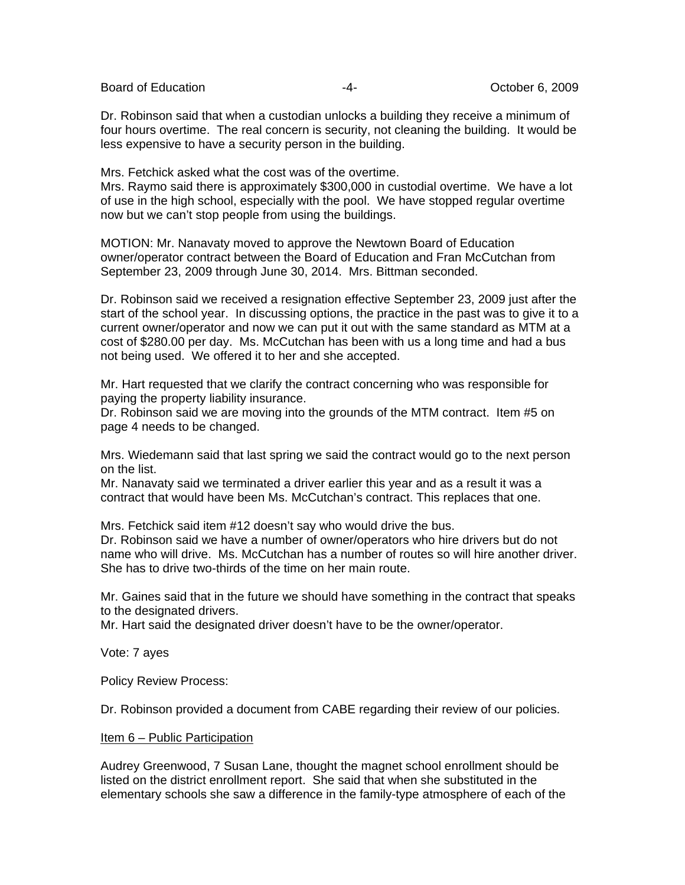Board of Education  $\overline{4}$ -  $\overline{4}$ -  $\overline{4}$  October 6, 2009

Dr. Robinson said that when a custodian unlocks a building they receive a minimum of four hours overtime. The real concern is security, not cleaning the building. It would be less expensive to have a security person in the building.

Mrs. Fetchick asked what the cost was of the overtime.

Mrs. Raymo said there is approximately \$300,000 in custodial overtime. We have a lot of use in the high school, especially with the pool. We have stopped regular overtime now but we can't stop people from using the buildings.

MOTION: Mr. Nanavaty moved to approve the Newtown Board of Education owner/operator contract between the Board of Education and Fran McCutchan from September 23, 2009 through June 30, 2014. Mrs. Bittman seconded.

Dr. Robinson said we received a resignation effective September 23, 2009 just after the start of the school year. In discussing options, the practice in the past was to give it to a current owner/operator and now we can put it out with the same standard as MTM at a cost of \$280.00 per day. Ms. McCutchan has been with us a long time and had a bus not being used. We offered it to her and she accepted.

Mr. Hart requested that we clarify the contract concerning who was responsible for paying the property liability insurance.

Dr. Robinson said we are moving into the grounds of the MTM contract. Item #5 on page 4 needs to be changed.

Mrs. Wiedemann said that last spring we said the contract would go to the next person on the list.

Mr. Nanavaty said we terminated a driver earlier this year and as a result it was a contract that would have been Ms. McCutchan's contract. This replaces that one.

Mrs. Fetchick said item #12 doesn't say who would drive the bus. Dr. Robinson said we have a number of owner/operators who hire drivers but do not name who will drive. Ms. McCutchan has a number of routes so will hire another driver. She has to drive two-thirds of the time on her main route.

Mr. Gaines said that in the future we should have something in the contract that speaks to the designated drivers.

Mr. Hart said the designated driver doesn't have to be the owner/operator.

Vote: 7 ayes

Policy Review Process:

Dr. Robinson provided a document from CABE regarding their review of our policies.

#### Item 6 – Public Participation

Audrey Greenwood, 7 Susan Lane, thought the magnet school enrollment should be listed on the district enrollment report. She said that when she substituted in the elementary schools she saw a difference in the family-type atmosphere of each of the